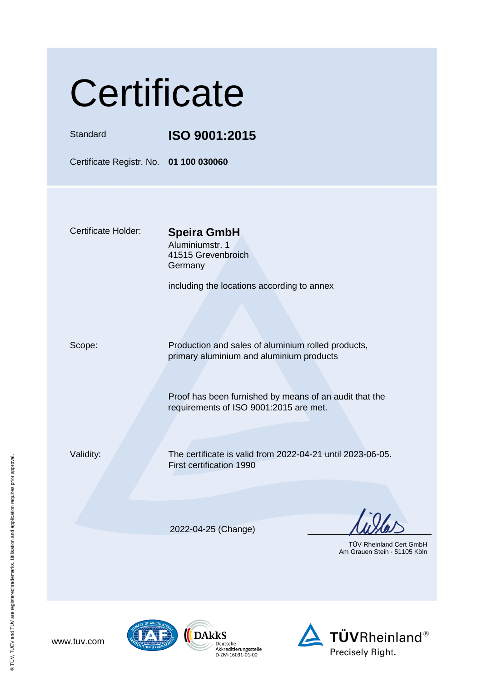|  | Certificate |
|--|-------------|
|  |             |

Standard **ISO 9001:2015**

Certificate Registr. No. **01 100 030060**

Certificate Holder: **Speira GmbH**

Aluminiumstr. 1 41515 Grevenbroich Germany

including the locations according to annex

Scope: Production and sales of aluminium rolled products, primary aluminium and aluminium products

> Proof has been furnished by means of an audit that the requirements of ISO 9001:2015 are met.

Validity: The certificate is valid from 2022-04-21 until 2023-06-05. First certification 1990

2022-04-25 (Change)

Deutsche Deutscrie<br>Akkreditierungsstelle<br>D-ZM-16031-01-00

 TÜV Rheinland Cert GmbH Am Grauen Stein · 51105 Köln





www.tuv.com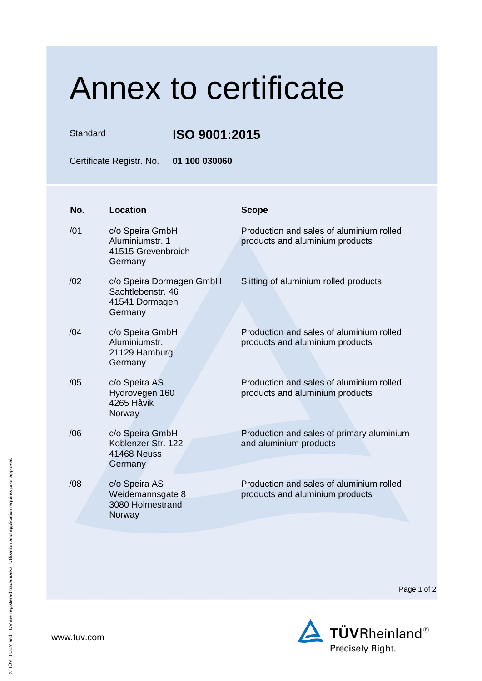## Annex to certificate

Standard **ISO 9001:2015** 

Certificate Registr. No. **01 100 030060**

| No. | <b>Location</b>                                                            | <b>Scope</b>                                                                |
|-----|----------------------------------------------------------------------------|-----------------------------------------------------------------------------|
| /01 | c/o Speira GmbH<br>Aluminiumstr. 1<br>41515 Grevenbroich<br>Germany        | Production and sales of aluminium rolled<br>products and aluminium products |
| /02 | c/o Speira Dormagen GmbH<br>Sachtlebenstr, 46<br>41541 Dormagen<br>Germany | Slitting of aluminium rolled products                                       |
| /04 | c/o Speira GmbH<br>Aluminiumstr.<br>21129 Hamburg<br>Germany               | Production and sales of aluminium rolled<br>products and aluminium products |
| /05 | c/o Speira AS<br>Hydrovegen 160<br>4265 Håvik<br>Norway                    | Production and sales of aluminium rolled<br>products and aluminium products |
| /06 | c/o Speira GmbH<br>Koblenzer Str. 122<br><b>41468 Neuss</b><br>Germany     | Production and sales of primary aluminium<br>and aluminium products         |
| /08 | c/o Speira AS<br>Weidemannsgate 8<br>3080 Holmestrand<br>Norway            | Production and sales of aluminium rolled<br>products and aluminium products |

Page 1 of 2